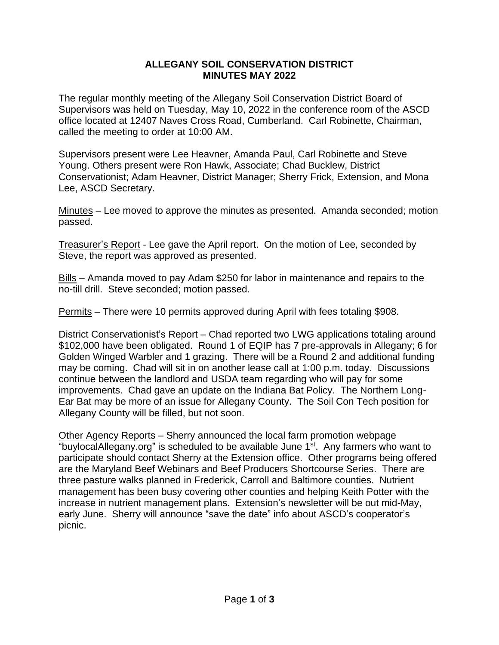## **ALLEGANY SOIL CONSERVATION DISTRICT MINUTES MAY 2022**

The regular monthly meeting of the Allegany Soil Conservation District Board of Supervisors was held on Tuesday, May 10, 2022 in the conference room of the ASCD office located at 12407 Naves Cross Road, Cumberland. Carl Robinette, Chairman, called the meeting to order at 10:00 AM.

Supervisors present were Lee Heavner, Amanda Paul, Carl Robinette and Steve Young. Others present were Ron Hawk, Associate; Chad Bucklew, District Conservationist; Adam Heavner, District Manager; Sherry Frick, Extension, and Mona Lee, ASCD Secretary.

Minutes – Lee moved to approve the minutes as presented. Amanda seconded; motion passed.

Treasurer's Report - Lee gave the April report. On the motion of Lee, seconded by Steve, the report was approved as presented.

Bills – Amanda moved to pay Adam \$250 for labor in maintenance and repairs to the no-till drill. Steve seconded; motion passed.

Permits – There were 10 permits approved during April with fees totaling \$908.

District Conservationist's Report – Chad reported two LWG applications totaling around \$102,000 have been obligated. Round 1 of EQIP has 7 pre-approvals in Allegany; 6 for Golden Winged Warbler and 1 grazing. There will be a Round 2 and additional funding may be coming. Chad will sit in on another lease call at 1:00 p.m. today. Discussions continue between the landlord and USDA team regarding who will pay for some improvements. Chad gave an update on the Indiana Bat Policy. The Northern Long-Ear Bat may be more of an issue for Allegany County. The Soil Con Tech position for Allegany County will be filled, but not soon.

Other Agency Reports – Sherry announced the local farm promotion webpage "buylocalAllegany.org" is scheduled to be available June 1<sup>st</sup>. Any farmers who want to participate should contact Sherry at the Extension office. Other programs being offered are the Maryland Beef Webinars and Beef Producers Shortcourse Series. There are three pasture walks planned in Frederick, Carroll and Baltimore counties. Nutrient management has been busy covering other counties and helping Keith Potter with the increase in nutrient management plans. Extension's newsletter will be out mid-May, early June. Sherry will announce "save the date" info about ASCD's cooperator's picnic.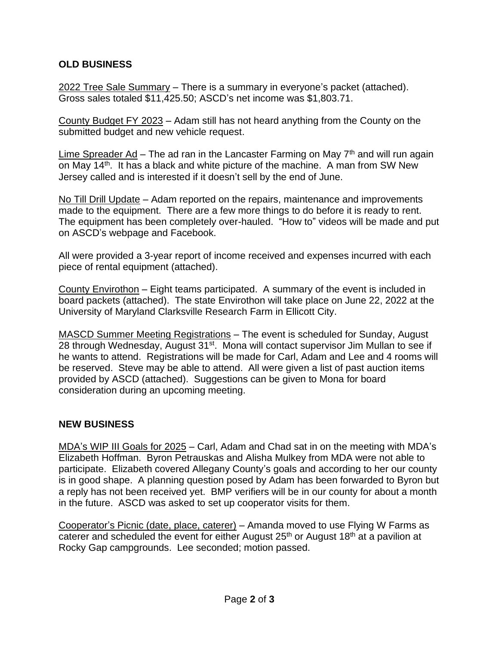## **OLD BUSINESS**

2022 Tree Sale Summary – There is a summary in everyone's packet (attached). Gross sales totaled \$11,425.50; ASCD's net income was \$1,803.71.

County Budget FY 2023 – Adam still has not heard anything from the County on the submitted budget and new vehicle request.

Lime Spreader Ad – The ad ran in the Lancaster Farming on May  $7<sup>th</sup>$  and will run again on May 14th. It has a black and white picture of the machine. A man from SW New Jersey called and is interested if it doesn't sell by the end of June.

No Till Drill Update – Adam reported on the repairs, maintenance and improvements made to the equipment. There are a few more things to do before it is ready to rent. The equipment has been completely over-hauled. "How to" videos will be made and put on ASCD's webpage and Facebook.

All were provided a 3-year report of income received and expenses incurred with each piece of rental equipment (attached).

County Envirothon – Eight teams participated. A summary of the event is included in board packets (attached). The state Envirothon will take place on June 22, 2022 at the University of Maryland Clarksville Research Farm in Ellicott City.

MASCD Summer Meeting Registrations – The event is scheduled for Sunday, August 28 through Wednesday, August 31<sup>st</sup>. Mona will contact supervisor Jim Mullan to see if he wants to attend. Registrations will be made for Carl, Adam and Lee and 4 rooms will be reserved. Steve may be able to attend. All were given a list of past auction items provided by ASCD (attached). Suggestions can be given to Mona for board consideration during an upcoming meeting.

## **NEW BUSINESS**

MDA's WIP III Goals for 2025 – Carl, Adam and Chad sat in on the meeting with MDA's Elizabeth Hoffman. Byron Petrauskas and Alisha Mulkey from MDA were not able to participate. Elizabeth covered Allegany County's goals and according to her our county is in good shape. A planning question posed by Adam has been forwarded to Byron but a reply has not been received yet. BMP verifiers will be in our county for about a month in the future. ASCD was asked to set up cooperator visits for them.

Cooperator's Picnic (date, place, caterer) – Amanda moved to use Flying W Farms as caterer and scheduled the event for either August 25<sup>th</sup> or August 18<sup>th</sup> at a pavilion at Rocky Gap campgrounds. Lee seconded; motion passed.